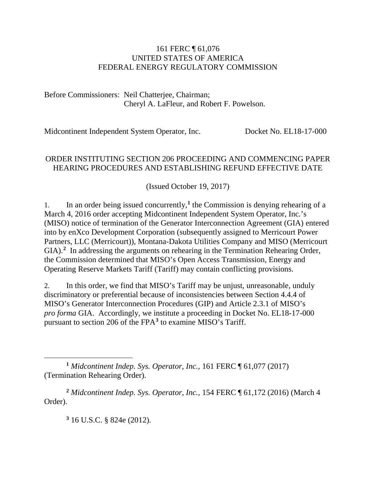#### 161 FERC ¶ 61,076 UNITED STATES OF AMERICA FEDERAL ENERGY REGULATORY COMMISSION

Before Commissioners: Neil Chatterjee, Chairman; Cheryl A. LaFleur, and Robert F. Powelson.

Midcontinent Independent System Operator, Inc. Docket No. EL18-17-000

## ORDER INSTITUTING SECTION 206 PROCEEDING AND COMMENCING PAPER HEARING PROCEDURES AND ESTABLISHING REFUND EFFECTIVE DATE

(Issued October 19, 2017)

[1](#page-0-0). In an order being issued concurrently,<sup>1</sup> the Commission is denying rehearing of a March 4, 2016 order accepting Midcontinent Independent System Operator, Inc.'s (MISO) notice of termination of the Generator Interconnection Agreement (GIA) entered into by enXco Development Corporation (subsequently assigned to Merricourt Power Partners, LLC (Merricourt)), Montana-Dakota Utilities Company and MISO (Merricourt GIA).<sup>[2](#page-0-1)</sup> In addressing the arguments on rehearing in the Termination Rehearing Order, the Commission determined that MISO's Open Access Transmission, Energy and Operating Reserve Markets Tariff (Tariff) may contain conflicting provisions.

2. In this order, we find that MISO's Tariff may be unjust, unreasonable, unduly discriminatory or preferential because of inconsistencies between Section 4.4.4 of MISO's Generator Interconnection Procedures (GIP) and Article 2.3.1 of MISO's *pro forma* GIA. Accordingly, we institute a proceeding in Docket No. EL18-17-000 pursuant to section 206 of the FPA**[3](#page-0-2)** to examine MISO's Tariff.

**<sup>3</sup>** 16 U.S.C. § 824e (2012).

<span id="page-0-0"></span> $\overline{a}$ **<sup>1</sup>** *Midcontinent Indep. Sys. Operator, Inc.*, 161 FERC ¶ 61,077 (2017) (Termination Rehearing Order).

<span id="page-0-2"></span><span id="page-0-1"></span>**<sup>2</sup>** *Midcontinent Indep. Sys. Operator, Inc.*, 154 FERC ¶ 61,172 (2016) (March 4 Order).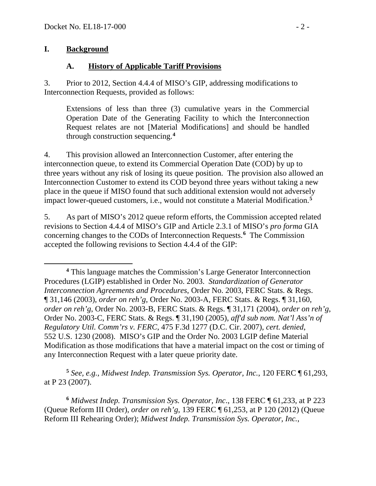#### **I. Background**

 $\overline{a}$ 

## **A. History of Applicable Tariff Provisions**

3. Prior to 2012, Section 4.4.4 of MISO's GIP, addressing modifications to Interconnection Requests, provided as follows:

Extensions of less than three (3) cumulative years in the Commercial Operation Date of the Generating Facility to which the Interconnection Request relates are not [Material Modifications] and should be handled through construction sequencing.**[4](#page-1-0)**

4. This provision allowed an Interconnection Customer, after entering the interconnection queue, to extend its Commercial Operation Date (COD) by up to three years without any risk of losing its queue position. The provision also allowed an Interconnection Customer to extend its COD beyond three years without taking a new place in the queue if MISO found that such additional extension would not adversely impact lower-queued customers, i.e., would not constitute a Material Modification. **[5](#page-1-1)**

5. As part of MISO's 2012 queue reform efforts, the Commission accepted related revisions to Section 4.4.4 of MISO's GIP and Article 2.3.1 of MISO's *pro forma* GIA concerning changes to the CODs of Interconnection Requests.**[6](#page-1-2)** The Commission accepted the following revisions to Section 4.4.4 of the GIP:

<span id="page-1-1"></span>**<sup>5</sup>** *See, e.g., Midwest Indep. Transmission Sys. Operator, Inc.*, 120 FERC ¶ 61,293, at P 23 (2007).

<span id="page-1-2"></span>**<sup>6</sup>** *Midwest Indep. Transmission Sys. Operator, Inc*., 138 FERC ¶ 61,233, at P 223 (Queue Reform III Order), *order on reh'g*, 139 FERC ¶ 61,253, at P 120 (2012) (Queue Reform III Rehearing Order); *Midwest Indep. Transmission Sys. Operator, Inc.*,

<span id="page-1-0"></span>**<sup>4</sup>** This language matches the Commission's Large Generator Interconnection Procedures (LGIP) established in Order No. 2003. *Standardization of Generator Interconnection Agreements and Procedures*, Order No. 2003, FERC Stats. & Regs. ¶ 31,146 (2003), *order on reh'g*, Order No. 2003-A, FERC Stats. & Regs. ¶ 31,160, *order on reh'g*, Order No. 2003-B, FERC Stats. & Regs. ¶ 31,171 (2004), *order on reh'g*, Order No. 2003-C, FERC Stats. & Regs. ¶ 31,190 (2005), *aff'd sub nom. Nat'l Ass'n of Regulatory Util. Comm'rs v. FERC*, 475 F.3d 1277 (D.C. Cir. 2007), *cert. denied*, 552 U.S. 1230 (2008). MISO's GIP and the Order No. 2003 LGIP define Material Modification as those modifications that have a material impact on the cost or timing of any Interconnection Request with a later queue priority date.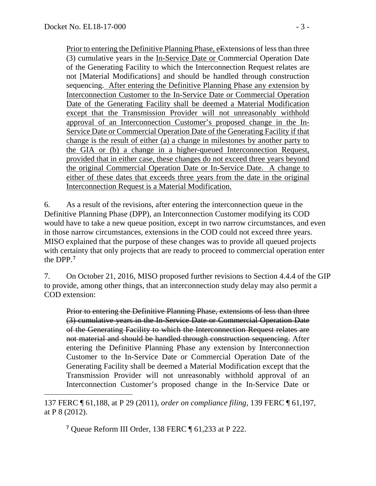$\overline{a}$ 

Prior to entering the Definitive Planning Phase, eExtensions of less than three (3) cumulative years in the In-Service Date or Commercial Operation Date of the Generating Facility to which the Interconnection Request relates are not [Material Modifications] and should be handled through construction sequencing. After entering the Definitive Planning Phase any extension by Interconnection Customer to the In-Service Date or Commercial Operation Date of the Generating Facility shall be deemed a Material Modification except that the Transmission Provider will not unreasonably withhold approval of an Interconnection Customer's proposed change in the In-Service Date or Commercial Operation Date of the Generating Facility if that change is the result of either (a) a change in milestones by another party to the GIA or (b) a change in a higher-queued Interconnection Request, provided that in either case, these changes do not exceed three years beyond the original Commercial Operation Date or In-Service Date. A change to either of these dates that exceeds three years from the date in the original Interconnection Request is a Material Modification.

6. As a result of the revisions, after entering the interconnection queue in the Definitive Planning Phase (DPP), an Interconnection Customer modifying its COD would have to take a new queue position, except in two narrow circumstances, and even in those narrow circumstances, extensions in the COD could not exceed three years. MISO explained that the purpose of these changes was to provide all queued projects with certainty that only projects that are ready to proceed to commercial operation enter the DPP.**[7](#page-2-0)**

7. On October 21, 2016, MISO proposed further revisions to Section 4.4.4 of the GIP to provide, among other things, that an interconnection study delay may also permit a COD extension:

Prior to entering the Definitive Planning Phase, extensions of less than three (3) cumulative years in the In-Service Date or Commercial Operation Date of the Generating Facility to which the Interconnection Request relates are not material and should be handled through construction sequencing. After entering the Definitive Planning Phase any extension by Interconnection Customer to the In-Service Date or Commercial Operation Date of the Generating Facility shall be deemed a Material Modification except that the Transmission Provider will not unreasonably withhold approval of an Interconnection Customer's proposed change in the In-Service Date or

**<sup>7</sup>** Queue Reform III Order, 138 FERC ¶ 61,233 at P 222.

<span id="page-2-0"></span><sup>137</sup> FERC ¶ 61,188, at P 29 (2011), *order on compliance filing,* 139 FERC ¶ 61,197, at P 8 (2012).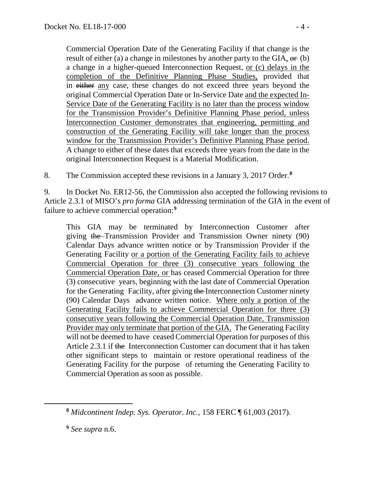Commercial Operation Date of the Generating Facility if that change is the result of either (a) a change in milestones by another party to the GIA,  $\Theta$  (b) a change in a higher-queued Interconnection Request, or (c) delays in the completion of the Definitive Planning Phase Studies, provided that in either any case, these changes do not exceed three years beyond the original Commercial Operation Date or In-Service Date and the expected In-Service Date of the Generating Facility is no later than the process window for the Transmission Provider's Definitive Planning Phase period, unless Interconnection Customer demonstrates that engineering, permitting and construction of the Generating Facility will take longer than the process window for the Transmission Provider's Definitive Planning Phase period. A change to either of these dates that exceeds three years from the date in the original Interconnection Request is a Material Modification.

8. The Commission accepted these revisions in a January 3, 2017 Order.**[8](#page-3-0)**

9. In Docket No. ER12-56, the Commission also accepted the following revisions to Article 2.3.1 of MISO's *pro forma* GIA addressing termination of the GIA in the event of failure to achieve commercial operation:**[9](#page-3-1)**

This GIA may be terminated by Interconnection Customer after giving the Transmission Provider and Transmission Owner ninety (90) Calendar Days advance written notice or by Transmission Provider if the Generating Facility or a portion of the Generating Facility fails to achieve Commercial Operation for three (3) consecutive years following the Commercial Operation Date, or has ceased Commercial Operation for three (3) consecutive years, beginning with the last date of Commercial Operation for the Generating Facility, after giving the Interconnection Customer ninety (90) Calendar Days advance written notice. Where only a portion of the Generating Facility fails to achieve Commercial Operation for three (3) consecutive years following the Commercial Operation Date, Transmission Provider may only terminate that portion of the GIA. The Generating Facility will not be deemed to have ceased Commercial Operation for purposes of this Article 2.3.1 if the Interconnection Customer can document that it has taken other significant steps to maintain or restore operational readiness of the Generating Facility for the purpose of returning the Generating Facility to Commercial Operation as soon as possible.

<span id="page-3-1"></span><span id="page-3-0"></span> $\overline{a}$ 

**<sup>8</sup>** *Midcontinent Indep. Sys. Operator. Inc.*, 158 FERC ¶ 61,003 (2017).

**<sup>9</sup>** *See supra* n.6.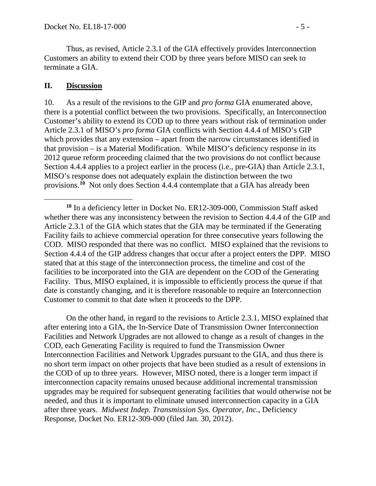Thus, as revised, Article 2.3.1 of the GIA effectively provides Interconnection Customers an ability to extend their COD by three years before MISO can seek to terminate a GIA.

### **II. Discussion**

 $\overline{a}$ 

10. As a result of the revisions to the GIP and *pro forma* GIA enumerated above, there is a potential conflict between the two provisions. Specifically, an Interconnection Customer's ability to extend its COD up to three years without risk of termination under Article 2.3.1 of MISO's *pro forma* GIA conflicts with Section 4.4.4 of MISO's GIP which provides that any extension – apart from the narrow circumstances identified in that provision – is a Material Modification. While MISO's deficiency response in its 2012 queue reform proceeding claimed that the two provisions do not conflict because Section 4.4.4 applies to a project earlier in the process (i.e., pre-GIA) than Article 2.3.1, MISO's response does not adequately explain the distinction between the two provisions. **[10](#page-4-0)** Not only does Section 4.4.4 contemplate that a GIA has already been

On the other hand, in regard to the revisions to Article 2.3.1, MISO explained that after entering into a GIA, the In-Service Date of Transmission Owner Interconnection Facilities and Network Upgrades are not allowed to change as a result of changes in the COD, each Generating Facility is required to fund the Transmission Owner Interconnection Facilities and Network Upgrades pursuant to the GIA, and thus there is no short term impact on other projects that have been studied as a result of extensions in the COD of up to three years. However, MISO noted, there is a longer term impact if interconnection capacity remains unused because additional incremental transmission upgrades may be required for subsequent generating facilities that would otherwise not be needed, and thus it is important to eliminate unused interconnection capacity in a GIA after three years. *Midwest Indep. Transmission Sys. Operator, Inc.*, Deficiency Response, Docket No. ER12-309-000 (filed Jan. 30, 2012).

<span id="page-4-0"></span>**<sup>10</sup>** In a deficiency letter in Docket No. ER12-309-000, Commission Staff asked whether there was any inconsistency between the revision to Section 4.4.4 of the GIP and Article 2.3.1 of the GIA which states that the GIA may be terminated if the Generating Facility fails to achieve commercial operation for three consecutive years following the COD. MISO responded that there was no conflict. MISO explained that the revisions to Section 4.4.4 of the GIP address changes that occur after a project enters the DPP. MISO stated that at this stage of the interconnection process, the timeline and cost of the facilities to be incorporated into the GIA are dependent on the COD of the Generating Facility. Thus, MISO explained, it is impossible to efficiently process the queue if that date is constantly changing, and it is therefore reasonable to require an Interconnection Customer to commit to that date when it proceeds to the DPP.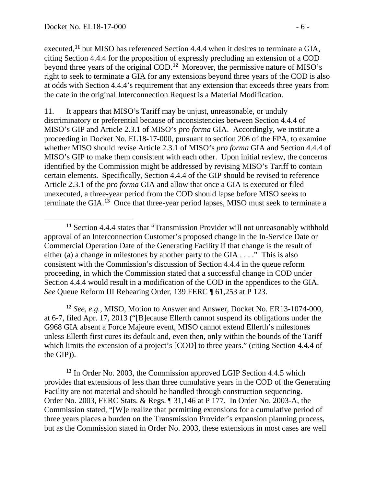$\overline{a}$ 

executed,**[11](#page-5-0)** but MISO has referenced Section 4.4.4 when it desires to terminate a GIA, citing Section 4.4.4 for the proposition of expressly precluding an extension of a COD beyond three years of the original COD.**[12](#page-5-1)** Moreover, the permissive nature of MISO's right to seek to terminate a GIA for any extensions beyond three years of the COD is also at odds with Section 4.4.4's requirement that any extension that exceeds three years from the date in the original Interconnection Request is a Material Modification.

11. It appears that MISO's Tariff may be unjust, unreasonable, or unduly discriminatory or preferential because of inconsistencies between Section 4.4.4 of MISO's GIP and Article 2.3.1 of MISO's *pro forma* GIA. Accordingly, we institute a proceeding in Docket No. EL18-17-000, pursuant to section 206 of the FPA, to examine whether MISO should revise Article 2.3.1 of MISO's *pro forma* GIA and Section 4.4.4 of MISO's GIP to make them consistent with each other. Upon initial review, the concerns identified by the Commission might be addressed by revising MISO's Tariff to contain certain elements. Specifically, Section 4.4.4 of the GIP should be revised to reference Article 2.3.1 of the *pro forma* GIA and allow that once a GIA is executed or filed unexecuted, a three-year period from the COD should lapse before MISO seeks to terminate the GIA.**[13](#page-5-2)** Once that three-year period lapses, MISO must seek to terminate a

<span id="page-5-1"></span>**<sup>12</sup>** *See, e.g.,* MISO, Motion to Answer and Answer, Docket No. ER13-1074-000, at 6-7, filed Apr. 17, 2013 ("[B]ecause Ellerth cannot suspend its obligations under the G968 GIA absent a Force Majeure event, MISO cannot extend Ellerth's milestones unless Ellerth first cures its default and, even then, only within the bounds of the Tariff which limits the extension of a project's [COD] to three years." (citing Section 4.4.4 of the GIP)).

<span id="page-5-2"></span>**<sup>13</sup>** In Order No. 2003, the Commission approved LGIP Section 4.4.5 which provides that extensions of less than three cumulative years in the COD of the Generating Facility are not material and should be handled through construction sequencing. Order No. 2003, FERC Stats. & Regs. ¶ 31,146 at P 177. In Order No. 2003-A, the Commission stated, "[W]e realize that permitting extensions for a cumulative period of three years places a burden on the Transmission Provider's expansion planning process, but as the Commission stated in Order No. 2003, these extensions in most cases are well

<span id="page-5-0"></span>**<sup>11</sup>** Section 4.4.4 states that "Transmission Provider will not unreasonably withhold approval of an Interconnection Customer's proposed change in the In-Service Date or Commercial Operation Date of the Generating Facility if that change is the result of either (a) a change in milestones by another party to the GIA . . . ." This is also consistent with the Commission's discussion of Section 4.4.4 in the queue reform proceeding, in which the Commission stated that a successful change in COD under Section 4.4.4 would result in a modification of the COD in the appendices to the GIA. *See* Queue Reform III Rehearing Order, 139 FERC ¶ 61,253 at P 123.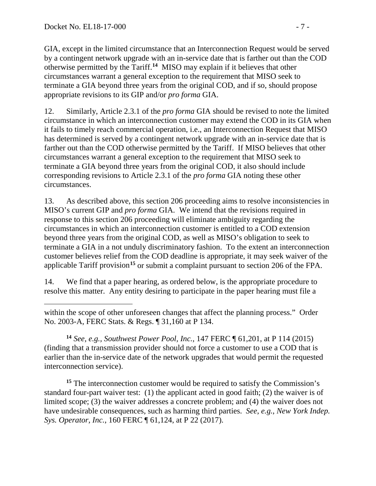$\overline{a}$ 

GIA, except in the limited circumstance that an Interconnection Request would be served by a contingent network upgrade with an in-service date that is farther out than the COD otherwise permitted by the Tariff. **[14](#page-6-0)** MISO may explain if it believes that other circumstances warrant a general exception to the requirement that MISO seek to terminate a GIA beyond three years from the original COD, and if so, should propose appropriate revisions to its GIP and/or *pro forma* GIA.

12. Similarly, Article 2.3.1 of the *pro forma* GIA should be revised to note the limited circumstance in which an interconnection customer may extend the COD in its GIA when it fails to timely reach commercial operation, i.e., an Interconnection Request that MISO has determined is served by a contingent network upgrade with an in-service date that is farther out than the COD otherwise permitted by the Tariff. If MISO believes that other circumstances warrant a general exception to the requirement that MISO seek to terminate a GIA beyond three years from the original COD, it also should include corresponding revisions to Article 2.3.1 of the *pro forma* GIA noting these other circumstances.

13. As described above, this section 206 proceeding aims to resolve inconsistencies in MISO's current GIP and *pro forma* GIA. We intend that the revisions required in response to this section 206 proceeding will eliminate ambiguity regarding the circumstances in which an interconnection customer is entitled to a COD extension beyond three years from the original COD, as well as MISO's obligation to seek to terminate a GIA in a not unduly discriminatory fashion. To the extent an interconnection customer believes relief from the COD deadline is appropriate, it may seek waiver of the applicable Tariff provision**[15](#page-6-1)** or submit a complaint pursuant to section 206 of the FPA.

14. We find that a paper hearing, as ordered below, is the appropriate procedure to resolve this matter. Any entity desiring to participate in the paper hearing must file a

<span id="page-6-0"></span>**<sup>14</sup>** *See, e.g., Southwest Power Pool, Inc.*, 147 FERC ¶ 61,201, at P 114 (2015) (finding that a transmission provider should not force a customer to use a COD that is earlier than the in-service date of the network upgrades that would permit the requested interconnection service).

<span id="page-6-1"></span><sup>15</sup> The interconnection customer would be required to satisfy the Commission's standard four-part waiver test: (1) the applicant acted in good faith; (2) the waiver is of limited scope; (3) the waiver addresses a concrete problem; and (4) the waiver does not have undesirable consequences, such as harming third parties. *See*, *e.g.*, *New York Indep. Sys. Operator, Inc.*, 160 FERC ¶ 61,124, at P 22 (2017).

within the scope of other unforeseen changes that affect the planning process." Order No. 2003-A, FERC Stats. & Regs. ¶ 31,160 at P 134.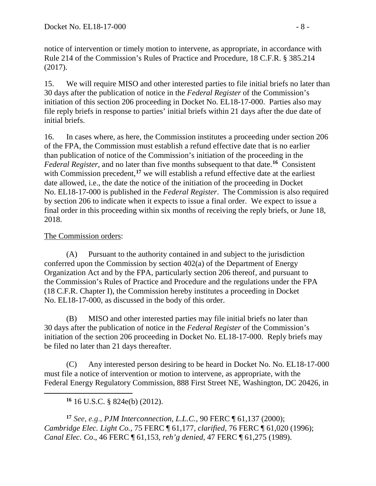notice of intervention or timely motion to intervene, as appropriate, in accordance with Rule 214 of the Commission's Rules of Practice and Procedure, 18 C.F.R. § 385.214 (2017).

15. We will require MISO and other interested parties to file initial briefs no later than 30 days after the publication of notice in the *Federal Register* of the Commission's initiation of this section 206 proceeding in Docket No. EL18-17-000. Parties also may file reply briefs in response to parties' initial briefs within 21 days after the due date of initial briefs.

16. In cases where, as here, the Commission institutes a proceeding under section 206 of the FPA, the Commission must establish a refund effective date that is no earlier than publication of notice of the Commission's initiation of the proceeding in the *Federal Register*, and no later than five months subsequent to that date.**[16](#page-7-0)** Consistent with Commission precedent,<sup>[17](#page-7-1)</sup> we will establish a refund effective date at the earliest date allowed, i.e., the date the notice of the initiation of the proceeding in Docket No. EL18-17-000 is published in the *Federal Register*. The Commission is also required by section 206 to indicate when it expects to issue a final order. We expect to issue a final order in this proceeding within six months of receiving the reply briefs, or June 18, 2018.

# The Commission orders:

<span id="page-7-0"></span> $\overline{a}$ 

(A) Pursuant to the authority contained in and subject to the jurisdiction conferred upon the Commission by section 402(a) of the Department of Energy Organization Act and by the FPA, particularly section 206 thereof, and pursuant to the Commission's Rules of Practice and Procedure and the regulations under the FPA (18 C.F.R. Chapter I), the Commission hereby institutes a proceeding in Docket No. EL18-17-000, as discussed in the body of this order.

(B) MISO and other interested parties may file initial briefs no later than 30 days after the publication of notice in the *Federal Register* of the Commission's initiation of the section 206 proceeding in Docket No. EL18-17-000. Reply briefs may be filed no later than 21 days thereafter.

(C) Any interested person desiring to be heard in Docket No. No. EL18-17-000 must file a notice of intervention or motion to intervene, as appropriate, with the Federal Energy Regulatory Commission, 888 First Street NE, Washington, DC 20426, in

**<sup>16</sup>** 16 U.S.C. § 824e(b) (2012).

<span id="page-7-1"></span>**<sup>17</sup>** *See*, *e.g*., *PJM Interconnection, L.L.C.*, 90 FERC ¶ 61,137 (2000); *Cambridge Elec. Light Co.*, 75 FERC ¶ 61,177, *clarified*, 76 FERC ¶ 61,020 (1996); *Canal Elec. Co*., 46 FERC ¶ 61,153, *reh'g denied*, 47 FERC ¶ 61,275 (1989).